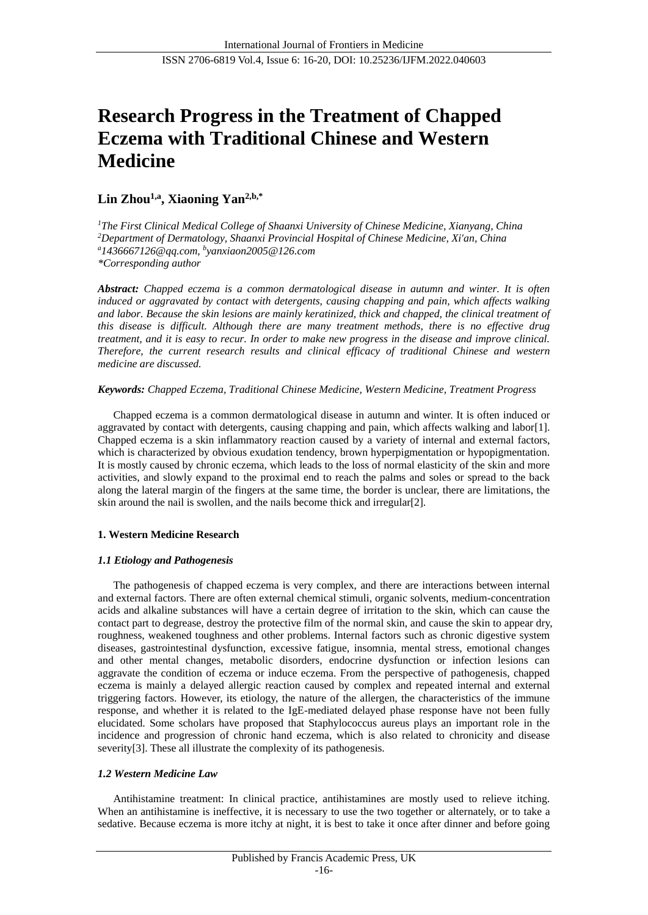# **Research Progress in the Treatment of Chapped Eczema with Traditional Chinese and Western Medicine**

## **Lin Zhou1,a, Xiaoning Yan2,b,\***

*<sup>1</sup>The First Clinical Medical College of Shaanxi University of Chinese Medicine, Xianyang, China <sup>2</sup>Department of Dermatology, Shaanxi Provincial Hospital of Chinese Medicine, Xi'an, China <sup>a</sup>1436667126@qq.com, <sup>b</sup> yanxiaon2005@126.com \*Corresponding author*

*Abstract: Chapped eczema is a common dermatological disease in autumn and winter. It is often induced or aggravated by contact with detergents, causing chapping and pain, which affects walking and labor. Because the skin lesions are mainly keratinized, thick and chapped, the clinical treatment of this disease is difficult. Although there are many treatment methods, there is no effective drug treatment, and it is easy to recur. In order to make new progress in the disease and improve clinical. Therefore, the current research results and clinical efficacy of traditional Chinese and western medicine are discussed.*

### *Keywords: Chapped Eczema, Traditional Chinese Medicine, Western Medicine, Treatment Progress*

Chapped eczema is a common dermatological disease in autumn and winter. It is often induced or aggravated by contact with detergents, causing chapping and pain, which affects walking and labor[1]. Chapped eczema is a skin inflammatory reaction caused by a variety of internal and external factors, which is characterized by obvious exudation tendency, brown hyperpigmentation or hypopigmentation. It is mostly caused by chronic eczema, which leads to the loss of normal elasticity of the skin and more activities, and slowly expand to the proximal end to reach the palms and soles or spread to the back along the lateral margin of the fingers at the same time, the border is unclear, there are limitations, the skin around the nail is swollen, and the nails become thick and irregular[2].

## **1. Western Medicine Research**

## *1.1 Etiology and Pathogenesis*

The pathogenesis of chapped eczema is very complex, and there are interactions between internal and external factors. There are often external chemical stimuli, organic solvents, medium-concentration acids and alkaline substances will have a certain degree of irritation to the skin, which can cause the contact part to degrease, destroy the protective film of the normal skin, and cause the skin to appear dry, roughness, weakened toughness and other problems. Internal factors such as chronic digestive system diseases, gastrointestinal dysfunction, excessive fatigue, insomnia, mental stress, emotional changes and other mental changes, metabolic disorders, endocrine dysfunction or infection lesions can aggravate the condition of eczema or induce eczema. From the perspective of pathogenesis, chapped eczema is mainly a delayed allergic reaction caused by complex and repeated internal and external triggering factors. However, its etiology, the nature of the allergen, the characteristics of the immune response, and whether it is related to the IgE-mediated delayed phase response have not been fully elucidated. Some scholars have proposed that Staphylococcus aureus plays an important role in the incidence and progression of chronic hand eczema, which is also related to chronicity and disease severity<sup>[3]</sup>. These all illustrate the complexity of its pathogenesis.

## *1.2 Western Medicine Law*

Antihistamine treatment: In clinical practice, antihistamines are mostly used to relieve itching. When an antihistamine is ineffective, it is necessary to use the two together or alternately, or to take a sedative. Because eczema is more itchy at night, it is best to take it once after dinner and before going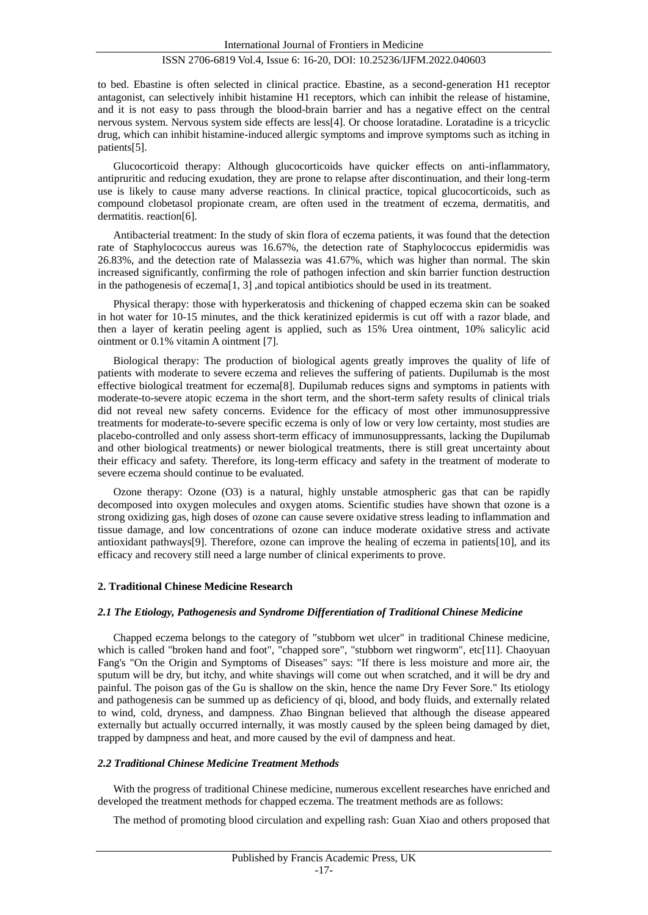## ISSN 2706-6819 Vol.4, Issue 6: 16-20, DOI: 10.25236/IJFM.2022.040603

to bed. Ebastine is often selected in clinical practice. Ebastine, as a second-generation H1 receptor antagonist, can selectively inhibit histamine H1 receptors, which can inhibit the release of histamine, and it is not easy to pass through the blood-brain barrier and has a negative effect on the central nervous system. Nervous system side effects are less[4]. Or choose loratadine. Loratadine is a tricyclic drug, which can inhibit histamine-induced allergic symptoms and improve symptoms such as itching in patients[5].

Glucocorticoid therapy: Although glucocorticoids have quicker effects on anti-inflammatory, antipruritic and reducing exudation, they are prone to relapse after discontinuation, and their long-term use is likely to cause many adverse reactions. In clinical practice, topical glucocorticoids, such as compound clobetasol propionate cream, are often used in the treatment of eczema, dermatitis, and dermatitis. reaction[6].

Antibacterial treatment: In the study of skin flora of eczema patients, it was found that the detection rate of Staphylococcus aureus was 16.67%, the detection rate of Staphylococcus epidermidis was 26.83%, and the detection rate of Malassezia was 41.67%, which was higher than normal. The skin increased significantly, confirming the role of pathogen infection and skin barrier function destruction in the pathogenesis of eczema[1, 3] ,and topical antibiotics should be used in its treatment.

Physical therapy: those with hyperkeratosis and thickening of chapped eczema skin can be soaked in hot water for 10-15 minutes, and the thick keratinized epidermis is cut off with a razor blade, and then a layer of keratin peeling agent is applied, such as 15% Urea ointment, 10% salicylic acid ointment or 0.1% vitamin A ointment [7].

Biological therapy: The production of biological agents greatly improves the quality of life of patients with moderate to severe eczema and relieves the suffering of patients. Dupilumab is the most effective biological treatment for eczema[8]. Dupilumab reduces signs and symptoms in patients with moderate-to-severe atopic eczema in the short term, and the short-term safety results of clinical trials did not reveal new safety concerns. Evidence for the efficacy of most other immunosuppressive treatments for moderate-to-severe specific eczema is only of low or very low certainty, most studies are placebo-controlled and only assess short-term efficacy of immunosuppressants, lacking the Dupilumab and other biological treatments) or newer biological treatments, there is still great uncertainty about their efficacy and safety. Therefore, its long-term efficacy and safety in the treatment of moderate to severe eczema should continue to be evaluated.

Ozone therapy: Ozone (O3) is a natural, highly unstable atmospheric gas that can be rapidly decomposed into oxygen molecules and oxygen atoms. Scientific studies have shown that ozone is a strong oxidizing gas, high doses of ozone can cause severe oxidative stress leading to inflammation and tissue damage, and low concentrations of ozone can induce moderate oxidative stress and activate antioxidant pathways[9]. Therefore, ozone can improve the healing of eczema in patients[10], and its efficacy and recovery still need a large number of clinical experiments to prove.

#### **2. Traditional Chinese Medicine Research**

#### *2.1 The Etiology, Pathogenesis and Syndrome Differentiation of Traditional Chinese Medicine*

Chapped eczema belongs to the category of "stubborn wet ulcer" in traditional Chinese medicine, which is called "broken hand and foot", "chapped sore", "stubborn wet ringworm", etc[11]. Chaoyuan Fang's "On the Origin and Symptoms of Diseases" says: "If there is less moisture and more air, the sputum will be dry, but itchy, and white shavings will come out when scratched, and it will be dry and painful. The poison gas of the Gu is shallow on the skin, hence the name Dry Fever Sore." Its etiology and pathogenesis can be summed up as deficiency of qi, blood, and body fluids, and externally related to wind, cold, dryness, and dampness. Zhao Bingnan believed that although the disease appeared externally but actually occurred internally, it was mostly caused by the spleen being damaged by diet, trapped by dampness and heat, and more caused by the evil of dampness and heat.

#### *2.2 Traditional Chinese Medicine Treatment Methods*

With the progress of traditional Chinese medicine, numerous excellent researches have enriched and developed the treatment methods for chapped eczema. The treatment methods are as follows:

The method of promoting blood circulation and expelling rash: Guan Xiao and others proposed that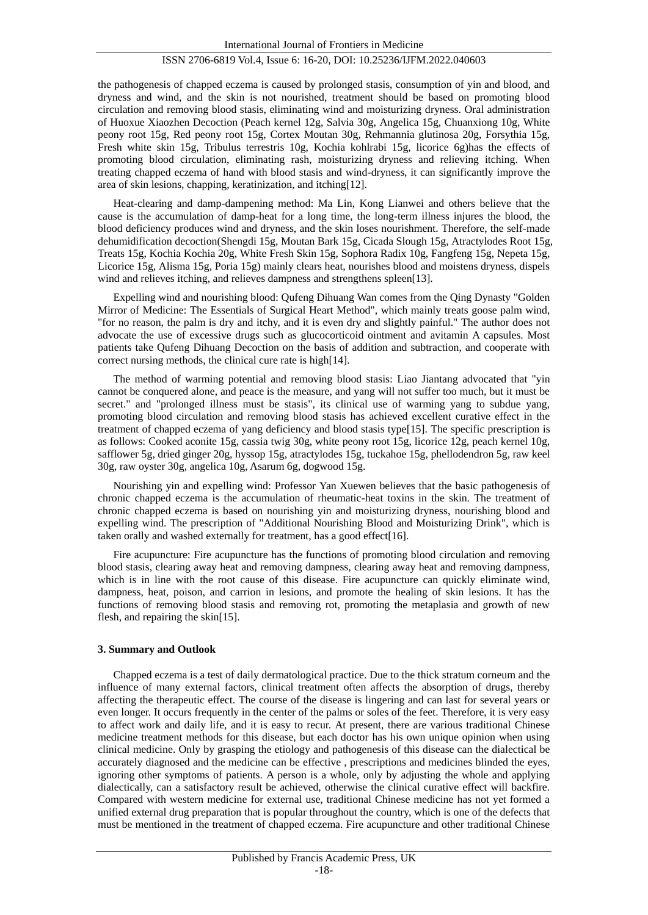#### ISSN 2706-6819 Vol.4, Issue 6: 16-20, DOI: 10.25236/IJFM.2022.040603

the pathogenesis of chapped eczema is caused by prolonged stasis, consumption of yin and blood, and dryness and wind, and the skin is not nourished, treatment should be based on promoting blood circulation and removing blood stasis, eliminating wind and moisturizing dryness. Oral administration of Huoxue Xiaozhen Decoction (Peach kernel 12g, Salvia 30g, Angelica 15g, Chuanxiong 10g, White peony root 15g, Red peony root 15g, Cortex Moutan 30g, Rehmannia glutinosa 20g, Forsythia 15g, Fresh white skin 15g, Tribulus terrestris 10g, Kochia kohlrabi 15g, licorice 6g)has the effects of promoting blood circulation, eliminating rash, moisturizing dryness and relieving itching. When treating chapped eczema of hand with blood stasis and wind-dryness, it can significantly improve the area of skin lesions, chapping, keratinization, and itching[12].

Heat-clearing and damp-dampening method: Ma Lin, Kong Lianwei and others believe that the cause is the accumulation of damp-heat for a long time, the long-term illness injures the blood, the blood deficiency produces wind and dryness, and the skin loses nourishment. Therefore, the self-made dehumidification decoction(Shengdi 15g, Moutan Bark 15g, Cicada Slough 15g, Atractylodes Root 15g, Treats 15g, Kochia Kochia 20g, White Fresh Skin 15g, Sophora Radix 10g, Fangfeng 15g, Nepeta 15g, Licorice 15g, Alisma 15g, Poria 15g) mainly clears heat, nourishes blood and moistens dryness, dispels wind and relieves itching, and relieves dampness and strengthens spleen[13].

Expelling wind and nourishing blood: Qufeng Dihuang Wan comes from the Qing Dynasty "Golden Mirror of Medicine: The Essentials of Surgical Heart Method", which mainly treats goose palm wind, "for no reason, the palm is dry and itchy, and it is even dry and slightly painful." The author does not advocate the use of excessive drugs such as glucocorticoid ointment and avitamin A capsules. Most patients take Qufeng Dihuang Decoction on the basis of addition and subtraction, and cooperate with correct nursing methods, the clinical cure rate is high[14].

The method of warming potential and removing blood stasis: Liao Jiantang advocated that "yin cannot be conquered alone, and peace is the measure, and yang will not suffer too much, but it must be secret." and "prolonged illness must be stasis", its clinical use of warming yang to subdue yang, promoting blood circulation and removing blood stasis has achieved excellent curative effect in the treatment of chapped eczema of yang deficiency and blood stasis type[15]. The specific prescription is as follows: Cooked aconite 15g, cassia twig 30g, white peony root 15g, licorice 12g, peach kernel 10g, safflower 5g, dried ginger 20g, hyssop 15g, atractylodes 15g, tuckahoe 15g, phellodendron 5g, raw keel 30g, raw oyster 30g, angelica 10g, Asarum 6g, dogwood 15g.

Nourishing yin and expelling wind: Professor Yan Xuewen believes that the basic pathogenesis of chronic chapped eczema is the accumulation of rheumatic-heat toxins in the skin. The treatment of chronic chapped eczema is based on nourishing yin and moisturizing dryness, nourishing blood and expelling wind. The prescription of "Additional Nourishing Blood and Moisturizing Drink", which is taken orally and washed externally for treatment, has a good effect[16].

Fire acupuncture: Fire acupuncture has the functions of promoting blood circulation and removing blood stasis, clearing away heat and removing dampness, clearing away heat and removing dampness, which is in line with the root cause of this disease. Fire acupuncture can quickly eliminate wind, dampness, heat, poison, and carrion in lesions, and promote the healing of skin lesions. It has the functions of removing blood stasis and removing rot, promoting the metaplasia and growth of new flesh, and repairing the skin[15].

#### **3. Summary and Outlook**

Chapped eczema is a test of daily dermatological practice. Due to the thick stratum corneum and the influence of many external factors, clinical treatment often affects the absorption of drugs, thereby affecting the therapeutic effect. The course of the disease is lingering and can last for several years or even longer. It occurs frequently in the center of the palms or soles of the feet. Therefore, it is very easy to affect work and daily life, and it is easy to recur. At present, there are various traditional Chinese medicine treatment methods for this disease, but each doctor has his own unique opinion when using clinical medicine. Only by grasping the etiology and pathogenesis of this disease can the dialectical be accurately diagnosed and the medicine can be effective , prescriptions and medicines blinded the eyes, ignoring other symptoms of patients. A person is a whole, only by adjusting the whole and applying dialectically, can a satisfactory result be achieved, otherwise the clinical curative effect will backfire. Compared with western medicine for external use, traditional Chinese medicine has not yet formed a unified external drug preparation that is popular throughout the country, which is one of the defects that must be mentioned in the treatment of chapped eczema. Fire acupuncture and other traditional Chinese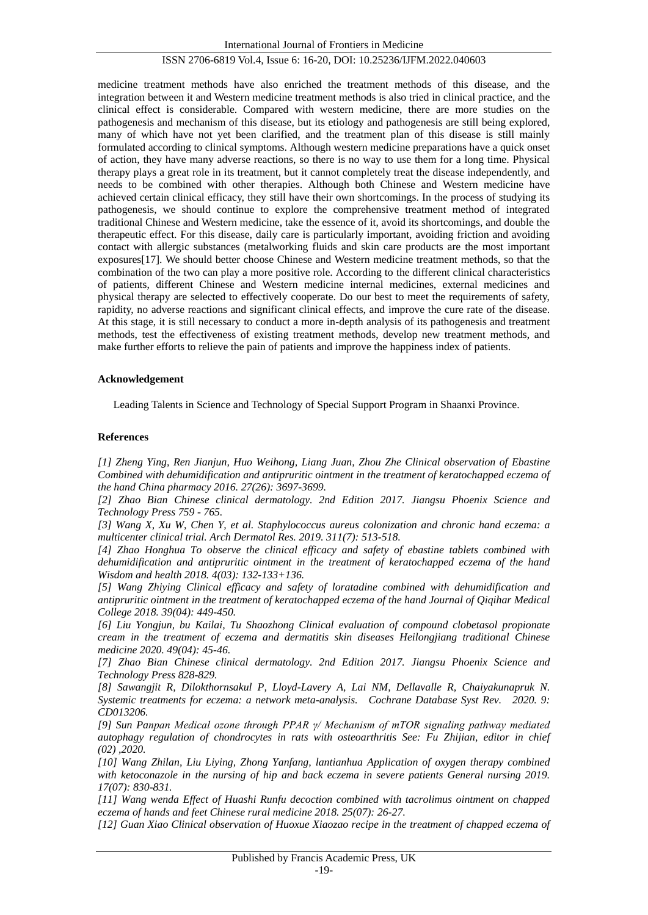International Journal of Frontiers in Medicine

## ISSN 2706-6819 Vol.4, Issue 6: 16-20, DOI: 10.25236/IJFM.2022.040603

medicine treatment methods have also enriched the treatment methods of this disease, and the integration between it and Western medicine treatment methods is also tried in clinical practice, and the clinical effect is considerable. Compared with western medicine, there are more studies on the pathogenesis and mechanism of this disease, but its etiology and pathogenesis are still being explored, many of which have not yet been clarified, and the treatment plan of this disease is still mainly formulated according to clinical symptoms. Although western medicine preparations have a quick onset of action, they have many adverse reactions, so there is no way to use them for a long time. Physical therapy plays a great role in its treatment, but it cannot completely treat the disease independently, and needs to be combined with other therapies. Although both Chinese and Western medicine have achieved certain clinical efficacy, they still have their own shortcomings. In the process of studying its pathogenesis, we should continue to explore the comprehensive treatment method of integrated traditional Chinese and Western medicine, take the essence of it, avoid its shortcomings, and double the therapeutic effect. For this disease, daily care is particularly important, avoiding friction and avoiding contact with allergic substances (metalworking fluids and skin care products are the most important exposures[17]. We should better choose Chinese and Western medicine treatment methods, so that the combination of the two can play a more positive role. According to the different clinical characteristics of patients, different Chinese and Western medicine internal medicines, external medicines and physical therapy are selected to effectively cooperate. Do our best to meet the requirements of safety, rapidity, no adverse reactions and significant clinical effects, and improve the cure rate of the disease. At this stage, it is still necessary to conduct a more in-depth analysis of its pathogenesis and treatment methods, test the effectiveness of existing treatment methods, develop new treatment methods, and make further efforts to relieve the pain of patients and improve the happiness index of patients.

#### **Acknowledgement**

Leading Talents in Science and Technology of Special Support Program in Shaanxi Province.

#### **References**

*[1] Zheng Ying, Ren Jianjun, Huo Weihong, Liang Juan, Zhou Zhe Clinical observation of Ebastine Combined with dehumidification and antipruritic ointment in the treatment of keratochapped eczema of the hand China pharmacy 2016. 27(26): 3697-3699.*

*[2] Zhao Bian Chinese clinical dermatology. 2nd Edition 2017. Jiangsu Phoenix Science and Technology Press 759 - 765.*

*[3] Wang X, Xu W, Chen Y, et al. Staphylococcus aureus colonization and chronic hand eczema: a multicenter clinical trial. Arch Dermatol Res. 2019. 311(7): 513-518.*

*[4] Zhao Honghua To observe the clinical efficacy and safety of ebastine tablets combined with dehumidification and antipruritic ointment in the treatment of keratochapped eczema of the hand Wisdom and health 2018. 4(03): 132-133+136.*

*[5] Wang Zhiying Clinical efficacy and safety of loratadine combined with dehumidification and antipruritic ointment in the treatment of keratochapped eczema of the hand Journal of Qiqihar Medical College 2018. 39(04): 449-450.*

*[6] Liu Yongjun, bu Kailai, Tu Shaozhong Clinical evaluation of compound clobetasol propionate cream in the treatment of eczema and dermatitis skin diseases Heilongjiang traditional Chinese medicine 2020. 49(04): 45-46.*

*[7] Zhao Bian Chinese clinical dermatology. 2nd Edition 2017. Jiangsu Phoenix Science and Technology Press 828-829.*

*[8] Sawangjit R, Dilokthornsakul P, Lloyd-Lavery A, Lai NM, Dellavalle R, Chaiyakunapruk N. Systemic treatments for eczema: a network meta-analysis. Cochrane Database Syst Rev. 2020. 9: CD013206.*

*[9] Sun Panpan Medical ozone through PPAR γ/ Mechanism of mTOR signaling pathway mediated autophagy regulation of chondrocytes in rats with osteoarthritis See: Fu Zhijian, editor in chief (02) ,2020.*

*[10] Wang Zhilan, Liu Liying, Zhong Yanfang, lantianhua Application of oxygen therapy combined*  with ketoconazole in the nursing of hip and back eczema in severe patients General nursing 2019. *17(07): 830-831.*

*[11] Wang wenda Effect of Huashi Runfu decoction combined with tacrolimus ointment on chapped eczema of hands and feet Chinese rural medicine 2018. 25(07): 26-27.*

*[12] Guan Xiao Clinical observation of Huoxue Xiaozao recipe in the treatment of chapped eczema of*